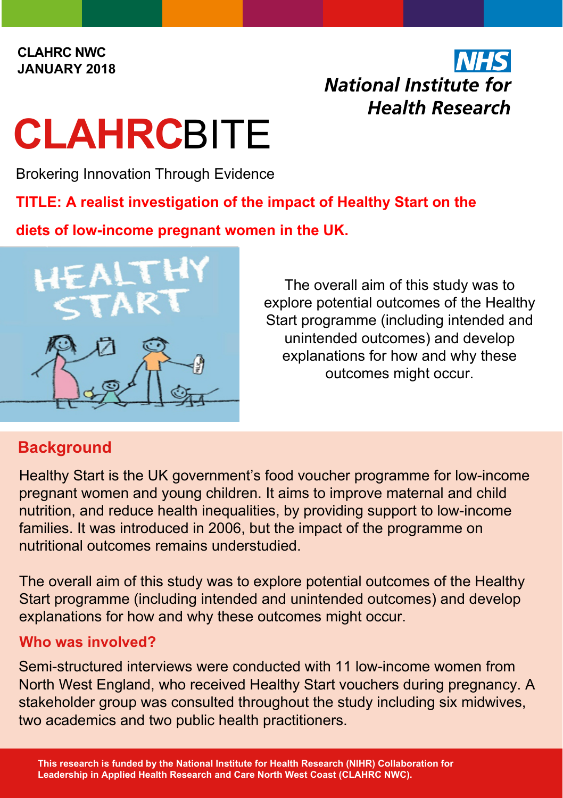#### **CLAHRC NWC JANUARY 2018**

## **National Institute for Health Research**

# **CLAHRC**BITE

Brokering Innovation Through Evidence

**TITLE: A realist investigation of the impact of Healthy Start on the** 

**diets of low-income pregnant women in the UK.**



The overall aim of this study was to explore potential outcomes of the Healthy Start programme (including intended and unintended outcomes) and develop explanations for how and why these outcomes might occur.

### **Background**

Healthy Start is the UK government's food voucher programme for low-income pregnant women and young children. It aims to improve maternal and child nutrition, and reduce health inequalities, by providing support to low-income families. It was introduced in 2006, but the impact of the programme on nutritional outcomes remains understudied.

The overall aim of this study was to explore potential outcomes of the Healthy Start programme (including intended and unintended outcomes) and develop explanations for how and why these outcomes might occur.

#### **Who was involved?**

Semi-structured interviews were conducted with 11 low-income women from North West England, who received Healthy Start vouchers during pregnancy. A stakeholder group was consulted throughout the study including six midwives, two academics and two public health practitioners.